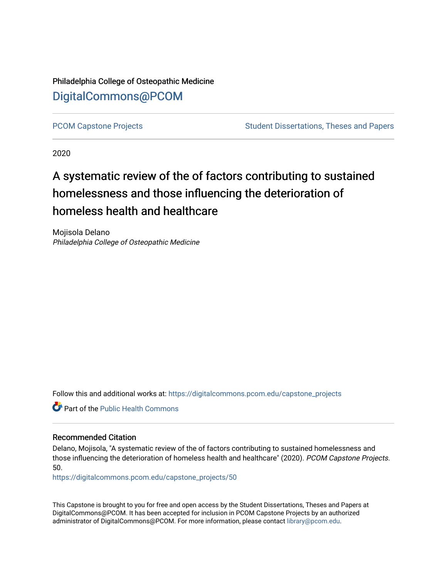Philadelphia College of Osteopathic Medicine [DigitalCommons@PCOM](https://digitalcommons.pcom.edu/) 

[PCOM Capstone Projects](https://digitalcommons.pcom.edu/capstone_projects) **Student Dissertations, Theses and Papers** Student Dissertations, Theses and Papers

2020

# A systematic review of the of factors contributing to sustained homelessness and those influencing the deterioration of homeless health and healthcare

Mojisola Delano Philadelphia College of Osteopathic Medicine

Follow this and additional works at: [https://digitalcommons.pcom.edu/capstone\\_projects](https://digitalcommons.pcom.edu/capstone_projects?utm_source=digitalcommons.pcom.edu%2Fcapstone_projects%2F50&utm_medium=PDF&utm_campaign=PDFCoverPages)

**C** Part of the Public Health Commons

#### Recommended Citation

Delano, Mojisola, "A systematic review of the of factors contributing to sustained homelessness and those influencing the deterioration of homeless health and healthcare" (2020). PCOM Capstone Projects. 50.

[https://digitalcommons.pcom.edu/capstone\\_projects/50](https://digitalcommons.pcom.edu/capstone_projects/50?utm_source=digitalcommons.pcom.edu%2Fcapstone_projects%2F50&utm_medium=PDF&utm_campaign=PDFCoverPages) 

This Capstone is brought to you for free and open access by the Student Dissertations, Theses and Papers at DigitalCommons@PCOM. It has been accepted for inclusion in PCOM Capstone Projects by an authorized administrator of DigitalCommons@PCOM. For more information, please contact [library@pcom.edu.](mailto:library@pcom.edu)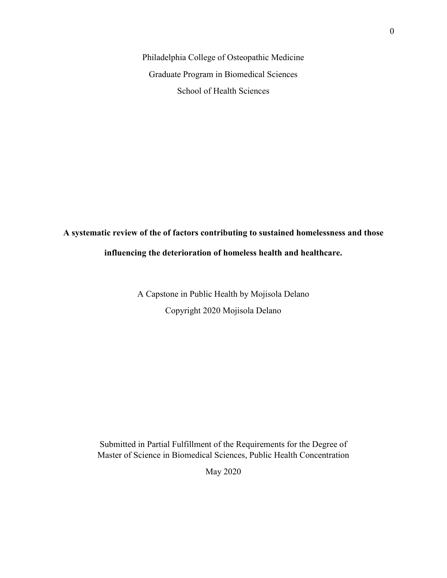Philadelphia College of Osteopathic Medicine Graduate Program in Biomedical Sciences School of Health Sciences

## **A systematic review of the of factors contributing to sustained homelessness and those influencing the deterioration of homeless health and healthcare.**

A Capstone in Public Health by Mojisola Delano Copyright 2020 Mojisola Delano

Submitted in Partial Fulfillment of the Requirements for the Degree of Master of Science in Biomedical Sciences, Public Health Concentration

May 2020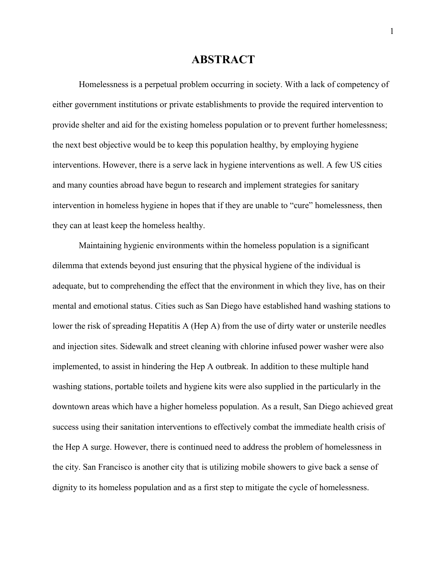## **ABSTRACT**

Homelessness is a perpetual problem occurring in society. With a lack of competency of either government institutions or private establishments to provide the required intervention to provide shelter and aid for the existing homeless population or to prevent further homelessness; the next best objective would be to keep this population healthy, by employing hygiene interventions. However, there is a serve lack in hygiene interventions as well. A few US cities and many counties abroad have begun to research and implement strategies for sanitary intervention in homeless hygiene in hopes that if they are unable to "cure" homelessness, then they can at least keep the homeless healthy.

Maintaining hygienic environments within the homeless population is a significant dilemma that extends beyond just ensuring that the physical hygiene of the individual is adequate, but to comprehending the effect that the environment in which they live, has on their mental and emotional status. Cities such as San Diego have established hand washing stations to lower the risk of spreading Hepatitis A (Hep A) from the use of dirty water or unsterile needles and injection sites. Sidewalk and street cleaning with chlorine infused power washer were also implemented, to assist in hindering the Hep A outbreak. In addition to these multiple hand washing stations, portable toilets and hygiene kits were also supplied in the particularly in the downtown areas which have a higher homeless population. As a result, San Diego achieved great success using their sanitation interventions to effectively combat the immediate health crisis of the Hep A surge. However, there is continued need to address the problem of homelessness in the city. San Francisco is another city that is utilizing mobile showers to give back a sense of dignity to its homeless population and as a first step to mitigate the cycle of homelessness.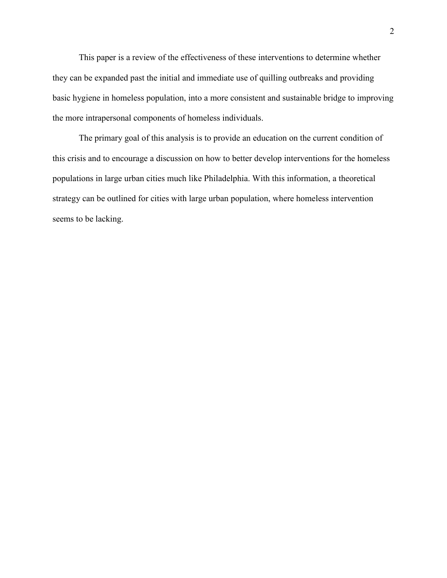This paper is a review of the effectiveness of these interventions to determine whether they can be expanded past the initial and immediate use of quilling outbreaks and providing basic hygiene in homeless population, into a more consistent and sustainable bridge to improving the more intrapersonal components of homeless individuals.

The primary goal of this analysis is to provide an education on the current condition of this crisis and to encourage a discussion on how to better develop interventions for the homeless populations in large urban cities much like Philadelphia. With this information, a theoretical strategy can be outlined for cities with large urban population, where homeless intervention seems to be lacking.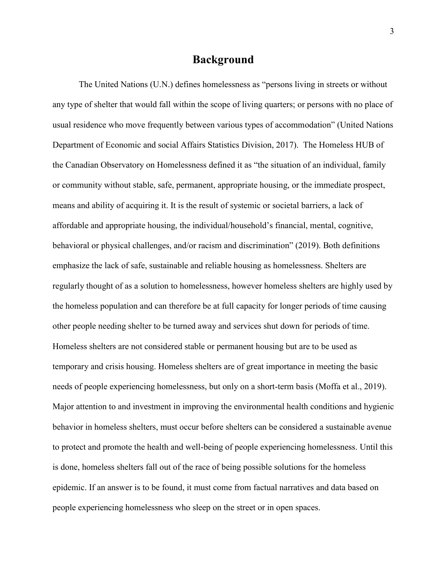## **Background**

The United Nations (U.N.) defines homelessness as "persons living in streets or without any type of shelter that would fall within the scope of living quarters; or persons with no place of usual residence who move frequently between various types of accommodation" (United Nations Department of Economic and social Affairs Statistics Division, 2017). The Homeless HUB of the Canadian Observatory on Homelessness defined it as "the situation of an individual, family or community without stable, safe, permanent, appropriate housing, or the immediate prospect, means and ability of acquiring it. It is the result of systemic or societal barriers, a lack of affordable and appropriate housing, the individual/household's financial, mental, cognitive, behavioral or physical challenges, and/or racism and discrimination" (2019). Both definitions emphasize the lack of safe, sustainable and reliable housing as homelessness. Shelters are regularly thought of as a solution to homelessness, however homeless shelters are highly used by the homeless population and can therefore be at full capacity for longer periods of time causing other people needing shelter to be turned away and services shut down for periods of time. Homeless shelters are not considered stable or permanent housing but are to be used as temporary and crisis housing. Homeless shelters are of great importance in meeting the basic needs of people experiencing homelessness, but only on a short-term basis (Moffa et al., 2019). Major attention to and investment in improving the environmental health conditions and hygienic behavior in homeless shelters, must occur before shelters can be considered a sustainable avenue to protect and promote the health and well-being of people experiencing homelessness. Until this is done, homeless shelters fall out of the race of being possible solutions for the homeless epidemic. If an answer is to be found, it must come from factual narratives and data based on people experiencing homelessness who sleep on the street or in open spaces.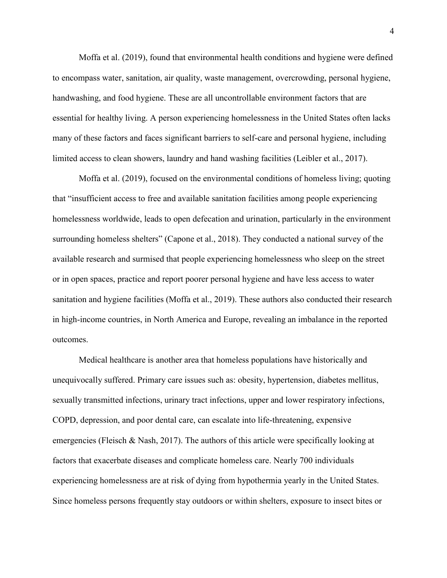Moffa et al. (2019), found that environmental health conditions and hygiene were defined to encompass water, sanitation, air quality, waste management, overcrowding, personal hygiene, handwashing, and food hygiene. These are all uncontrollable environment factors that are essential for healthy living. A person experiencing homelessness in the United States often lacks many of these factors and faces significant barriers to self-care and personal hygiene, including limited access to clean showers, laundry and hand washing facilities (Leibler et al., 2017).

Moffa et al. (2019), focused on the environmental conditions of homeless living; quoting that "insufficient access to free and available sanitation facilities among people experiencing homelessness worldwide, leads to open defecation and urination, particularly in the environment surrounding homeless shelters" (Capone et al., 2018). They conducted a national survey of the available research and surmised that people experiencing homelessness who sleep on the street or in open spaces, practice and report poorer personal hygiene and have less access to water sanitation and hygiene facilities (Moffa et al., 2019). These authors also conducted their research in high-income countries, in North America and Europe, revealing an imbalance in the reported outcomes.

Medical healthcare is another area that homeless populations have historically and unequivocally suffered. Primary care issues such as: obesity, hypertension, diabetes mellitus, sexually transmitted infections, urinary tract infections, upper and lower respiratory infections, COPD, depression, and poor dental care, can escalate into life-threatening, expensive emergencies (Fleisch & Nash, 2017). The authors of this article were specifically looking at factors that exacerbate diseases and complicate homeless care. Nearly 700 individuals experiencing homelessness are at risk of dying from hypothermia yearly in the United States. Since homeless persons frequently stay outdoors or within shelters, exposure to insect bites or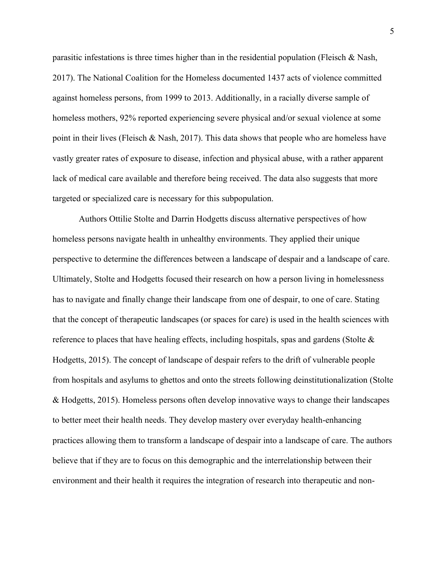parasitic infestations is three times higher than in the residential population (Fleisch & Nash, 2017). The National Coalition for the Homeless documented 1437 acts of violence committed against homeless persons, from 1999 to 2013. Additionally, in a racially diverse sample of homeless mothers, 92% reported experiencing severe physical and/or sexual violence at some point in their lives (Fleisch & Nash, 2017). This data shows that people who are homeless have vastly greater rates of exposure to disease, infection and physical abuse, with a rather apparent lack of medical care available and therefore being received. The data also suggests that more targeted or specialized care is necessary for this subpopulation.

Authors Ottilie Stolte and Darrin Hodgetts discuss alternative perspectives of how homeless persons navigate health in unhealthy environments. They applied their unique perspective to determine the differences between a landscape of despair and a landscape of care. Ultimately, Stolte and Hodgetts focused their research on how a person living in homelessness has to navigate and finally change their landscape from one of despair, to one of care. Stating that the concept of therapeutic landscapes (or spaces for care) is used in the health sciences with reference to places that have healing effects, including hospitals, spas and gardens (Stolte & Hodgetts, 2015). The concept of landscape of despair refers to the drift of vulnerable people from hospitals and asylums to ghettos and onto the streets following deinstitutionalization (Stolte & Hodgetts, 2015). Homeless persons often develop innovative ways to change their landscapes to better meet their health needs. They develop mastery over everyday health-enhancing practices allowing them to transform a landscape of despair into a landscape of care. The authors believe that if they are to focus on this demographic and the interrelationship between their environment and their health it requires the integration of research into therapeutic and non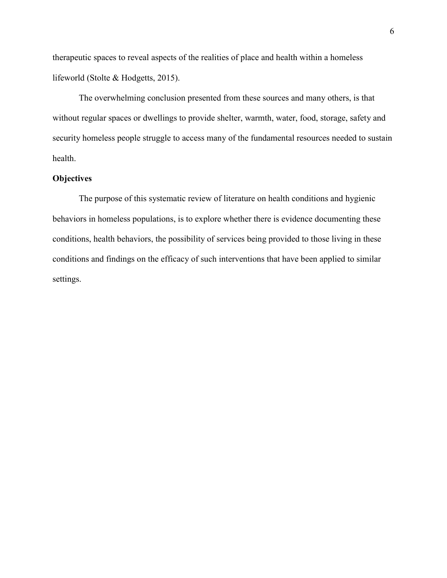therapeutic spaces to reveal aspects of the realities of place and health within a homeless lifeworld (Stolte & Hodgetts, 2015).

The overwhelming conclusion presented from these sources and many others, is that without regular spaces or dwellings to provide shelter, warmth, water, food, storage, safety and security homeless people struggle to access many of the fundamental resources needed to sustain health.

#### **Objectives**

The purpose of this systematic review of literature on health conditions and hygienic behaviors in homeless populations, is to explore whether there is evidence documenting these conditions, health behaviors, the possibility of services being provided to those living in these conditions and findings on the efficacy of such interventions that have been applied to similar settings.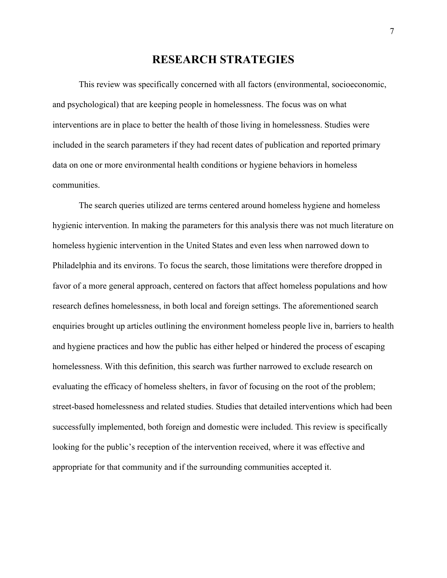## **RESEARCH STRATEGIES**

This review was specifically concerned with all factors (environmental, socioeconomic, and psychological) that are keeping people in homelessness. The focus was on what interventions are in place to better the health of those living in homelessness. Studies were included in the search parameters if they had recent dates of publication and reported primary data on one or more environmental health conditions or hygiene behaviors in homeless communities.

The search queries utilized are terms centered around homeless hygiene and homeless hygienic intervention. In making the parameters for this analysis there was not much literature on homeless hygienic intervention in the United States and even less when narrowed down to Philadelphia and its environs. To focus the search, those limitations were therefore dropped in favor of a more general approach, centered on factors that affect homeless populations and how research defines homelessness, in both local and foreign settings. The aforementioned search enquiries brought up articles outlining the environment homeless people live in, barriers to health and hygiene practices and how the public has either helped or hindered the process of escaping homelessness. With this definition, this search was further narrowed to exclude research on evaluating the efficacy of homeless shelters, in favor of focusing on the root of the problem; street-based homelessness and related studies. Studies that detailed interventions which had been successfully implemented, both foreign and domestic were included. This review is specifically looking for the public's reception of the intervention received, where it was effective and appropriate for that community and if the surrounding communities accepted it.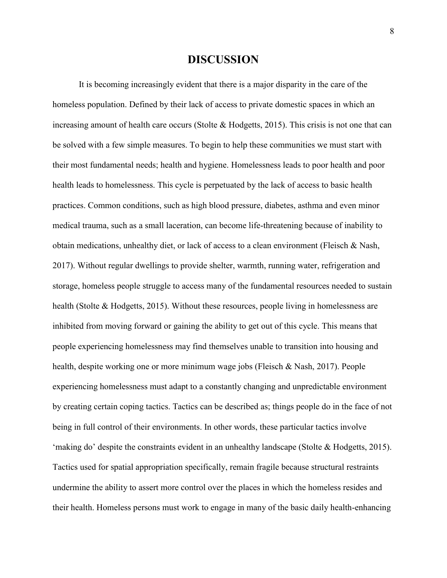## **DISCUSSION**

It is becoming increasingly evident that there is a major disparity in the care of the homeless population. Defined by their lack of access to private domestic spaces in which an increasing amount of health care occurs (Stolte  $\&$  Hodgetts, 2015). This crisis is not one that can be solved with a few simple measures. To begin to help these communities we must start with their most fundamental needs; health and hygiene. Homelessness leads to poor health and poor health leads to homelessness. This cycle is perpetuated by the lack of access to basic health practices. Common conditions, such as high blood pressure, diabetes, asthma and even minor medical trauma, such as a small laceration, can become life-threatening because of inability to obtain medications, unhealthy diet, or lack of access to a clean environment (Fleisch & Nash, 2017). Without regular dwellings to provide shelter, warmth, running water, refrigeration and storage, homeless people struggle to access many of the fundamental resources needed to sustain health (Stolte & Hodgetts, 2015). Without these resources, people living in homelessness are inhibited from moving forward or gaining the ability to get out of this cycle. This means that people experiencing homelessness may find themselves unable to transition into housing and health, despite working one or more minimum wage jobs (Fleisch & Nash, 2017). People experiencing homelessness must adapt to a constantly changing and unpredictable environment by creating certain coping tactics. Tactics can be described as; things people do in the face of not being in full control of their environments. In other words, these particular tactics involve 'making do' despite the constraints evident in an unhealthy landscape (Stolte & Hodgetts, 2015). Tactics used for spatial appropriation specifically, remain fragile because structural restraints undermine the ability to assert more control over the places in which the homeless resides and their health. Homeless persons must work to engage in many of the basic daily health-enhancing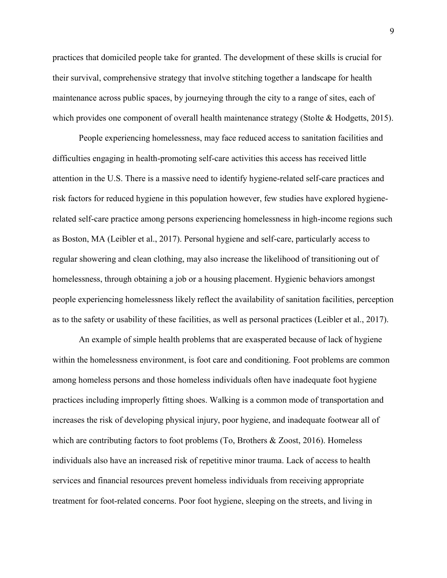practices that domiciled people take for granted. The development of these skills is crucial for their survival, comprehensive strategy that involve stitching together a landscape for health maintenance across public spaces, by journeying through the city to a range of sites, each of which provides one component of overall health maintenance strategy (Stolte & Hodgetts, 2015).

People experiencing homelessness, may face reduced access to sanitation facilities and difficulties engaging in health-promoting self-care activities this access has received little attention in the U.S. There is a massive need to identify hygiene-related self-care practices and risk factors for reduced hygiene in this population however, few studies have explored hygienerelated self-care practice among persons experiencing homelessness in high-income regions such as Boston, MA (Leibler et al., 2017). Personal hygiene and self-care, particularly access to regular showering and clean clothing, may also increase the likelihood of transitioning out of homelessness, through obtaining a job or a housing placement. Hygienic behaviors amongst people experiencing homelessness likely reflect the availability of sanitation facilities, perception as to the safety or usability of these facilities, as well as personal practices (Leibler et al., 2017).

An example of simple health problems that are exasperated because of lack of hygiene within the homelessness environment, is foot care and conditioning. Foot problems are common among homeless persons and those homeless individuals often have inadequate foot hygiene practices including improperly fitting shoes. Walking is a common mode of transportation and increases the risk of developing physical injury, poor hygiene, and inadequate footwear all of which are contributing factors to foot problems (To, Brothers & Zoost, 2016). Homeless individuals also have an increased risk of repetitive minor trauma. Lack of access to health services and financial resources prevent homeless individuals from receiving appropriate treatment for foot-related concerns. Poor foot hygiene, sleeping on the streets, and living in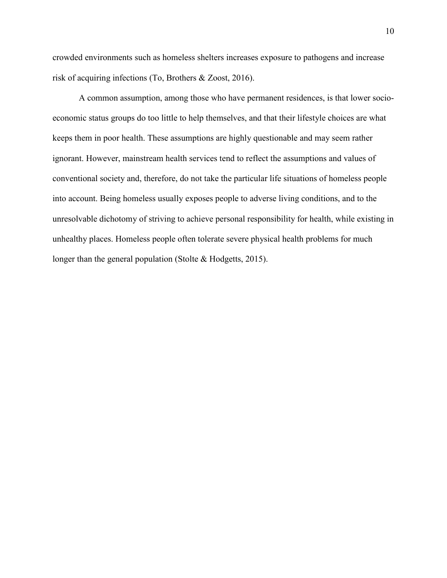crowded environments such as homeless shelters increases exposure to pathogens and increase risk of acquiring infections (To, Brothers & Zoost, 2016).

A common assumption, among those who have permanent residences, is that lower socioeconomic status groups do too little to help themselves, and that their lifestyle choices are what keeps them in poor health. These assumptions are highly questionable and may seem rather ignorant. However, mainstream health services tend to reflect the assumptions and values of conventional society and, therefore, do not take the particular life situations of homeless people into account. Being homeless usually exposes people to adverse living conditions, and to the unresolvable dichotomy of striving to achieve personal responsibility for health, while existing in unhealthy places. Homeless people often tolerate severe physical health problems for much longer than the general population (Stolte & Hodgetts, 2015).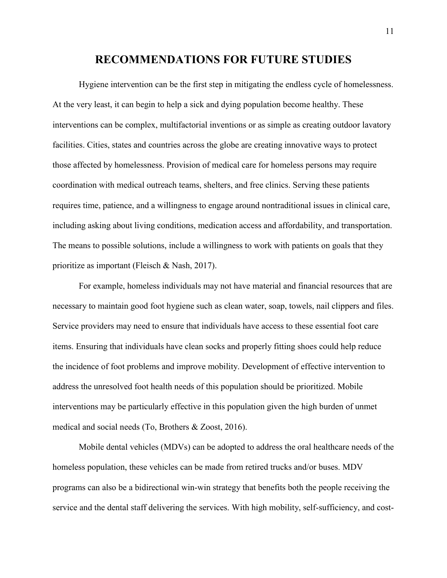## **RECOMMENDATIONS FOR FUTURE STUDIES**

Hygiene intervention can be the first step in mitigating the endless cycle of homelessness. At the very least, it can begin to help a sick and dying population become healthy. These interventions can be complex, multifactorial inventions or as simple as creating outdoor lavatory facilities. Cities, states and countries across the globe are creating innovative ways to protect those affected by homelessness. Provision of medical care for homeless persons may require coordination with medical outreach teams, shelters, and free clinics. Serving these patients requires time, patience, and a willingness to engage around nontraditional issues in clinical care, including asking about living conditions, medication access and affordability, and transportation. The means to possible solutions, include a willingness to work with patients on goals that they prioritize as important (Fleisch & Nash, 2017).

For example, homeless individuals may not have material and financial resources that are necessary to maintain good foot hygiene such as clean water, soap, towels, nail clippers and files. Service providers may need to ensure that individuals have access to these essential foot care items. Ensuring that individuals have clean socks and properly fitting shoes could help reduce the incidence of foot problems and improve mobility. Development of effective intervention to address the unresolved foot health needs of this population should be prioritized. Mobile interventions may be particularly effective in this population given the high burden of unmet medical and social needs (To, Brothers & Zoost, 2016).

Mobile dental vehicles (MDVs) can be adopted to address the oral healthcare needs of the homeless population, these vehicles can be made from retired trucks and/or buses. MDV programs can also be a bidirectional win-win strategy that benefits both the people receiving the service and the dental staff delivering the services. With high mobility, self-sufficiency, and cost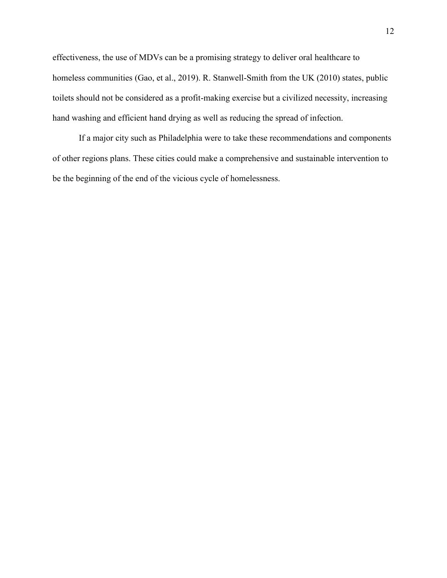effectiveness, the use of MDVs can be a promising strategy to deliver oral healthcare to homeless communities (Gao, et al., 2019). R. Stanwell-Smith from the UK (2010) states, public toilets should not be considered as a profit-making exercise but a civilized necessity, increasing hand washing and efficient hand drying as well as reducing the spread of infection.

If a major city such as Philadelphia were to take these recommendations and components of other regions plans. These cities could make a comprehensive and sustainable intervention to be the beginning of the end of the vicious cycle of homelessness.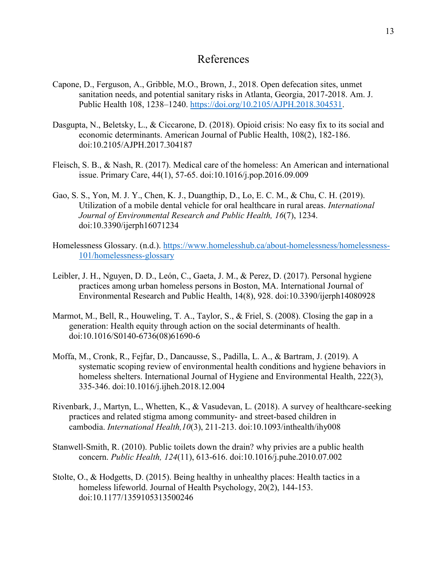## References

- Capone, D., Ferguson, A., Gribble, M.O., Brown, J., 2018. Open defecation sites, unmet sanitation needs, and potential sanitary risks in Atlanta, Georgia, 2017-2018. Am. J. Public Health 108, 1238–1240. [https://doi.org/10.2105/AJPH.2018.304531.](https://doi.org/10.2105/AJPH.2018.304531)
- Dasgupta, N., Beletsky, L., & Ciccarone, D. (2018). Opioid crisis: No easy fix to its social and economic determinants. American Journal of Public Health, 108(2), 182-186. doi:10.2105/AJPH.2017.304187
- Fleisch, S. B., & Nash, R. (2017). Medical care of the homeless: An American and international issue. Primary Care, 44(1), 57-65. doi:10.1016/j.pop.2016.09.009
- Gao, S. S., Yon, M. J. Y., Chen, K. J., Duangthip, D., Lo, E. C. M., & Chu, C. H. (2019). Utilization of a mobile dental vehicle for oral healthcare in rural areas. *International Journal of Environmental Research and Public Health, 16*(7), 1234. doi:10.3390/ijerph16071234
- Homelessness Glossary. (n.d.). [https://www.homelesshub.ca/about-homelessness/homelessness-](https://www.homelesshub.ca/about-homelessness/homelessness-101/homelessness-glossary)[101/homelessness-glossary](https://www.homelesshub.ca/about-homelessness/homelessness-101/homelessness-glossary)
- Leibler, J. H., Nguyen, D. D., León, C., Gaeta, J. M., & Perez, D. (2017). Personal hygiene practices among urban homeless persons in Boston, MA. International Journal of Environmental Research and Public Health, 14(8), 928. doi:10.3390/ijerph14080928
- Marmot, M., Bell, R., Houweling, T. A., Taylor, S., & Friel, S. (2008). Closing the gap in a generation: Health equity through action on the social determinants of health. doi:10.1016/S0140-6736(08)61690-6
- Moffa, M., Cronk, R., Fejfar, D., Dancausse, S., Padilla, L. A., & Bartram, J. (2019). A systematic scoping review of environmental health conditions and hygiene behaviors in homeless shelters. International Journal of Hygiene and Environmental Health, 222(3), 335-346. doi:10.1016/j.ijheh.2018.12.004
- Rivenbark, J., Martyn, L., Whetten, K., & Vasudevan, L. (2018). A survey of healthcare-seeking practices and related stigma among community- and street-based children in cambodia. *International Health,10*(3), 211-213. doi:10.1093/inthealth/ihy008
- Stanwell-Smith, R. (2010). Public toilets down the drain? why privies are a public health concern. *Public Health, 124*(11), 613-616. doi:10.1016/j.puhe.2010.07.002
- Stolte, O., & Hodgetts, D. (2015). Being healthy in unhealthy places: Health tactics in a homeless lifeworld. Journal of Health Psychology, 20(2), 144-153. doi:10.1177/1359105313500246